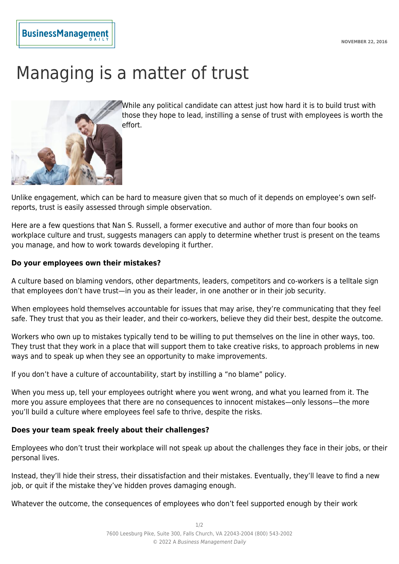## **BusinessManagemen**

# Managing is a matter of trust



While any political candidate can attest just how hard it is to build trust with those they hope to lead, instilling a sense of trust with employees is worth the effort.

Unlike engagement, which can be hard to measure given that so much of it depends on employee's own selfreports, trust is easily assessed through simple observation.

Here are a few questions that Nan S. Russell, a former executive and author of more than four books on workplace culture and trust, suggests managers can apply to determine whether trust is present on the teams you manage, and how to work towards developing it further.

#### **Do your employees own their mistakes?**

A culture based on blaming vendors, other departments, leaders, competitors and co-workers is a telltale sign that employees don't have trust—in you as their leader, in one another or in their job security.

When employees hold themselves accountable for issues that may arise, they're communicating that they feel safe. They trust that you as their leader, and their co-workers, believe they did their best, despite the outcome.

Workers who own up to mistakes typically tend to be willing to put themselves on the line in other ways, too. They trust that they work in a place that will support them to take creative risks, to approach problems in new ways and to speak up when they see an opportunity to make improvements.

If you don't have a culture of accountability, start by instilling a "no blame" policy.

When you mess up, tell your employees outright where you went wrong, and what you learned from it. The more you assure employees that there are no consequences to innocent mistakes—only lessons—the more you'll build a culture where employees feel safe to thrive, despite the risks.

### **Does your team speak freely about their challenges?**

Employees who don't trust their workplace will not speak up about the challenges they face in their jobs, or their personal lives.

Instead, they'll hide their stress, their dissatisfaction and their mistakes. Eventually, they'll leave to find a new job, or quit if the mistake they've hidden proves damaging enough.

Whatever the outcome, the consequences of employees who don't feel supported enough by their work